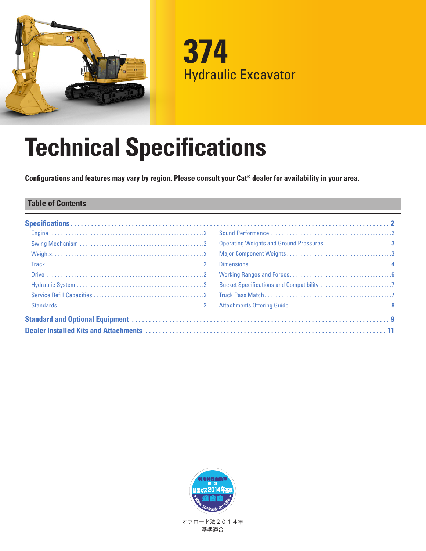

**374** Hydraulic Excavator

# **Technical Specifications**

**Configurations and features may vary by region. Please consult your Cat® dealer for availability in your area.**

## **Table of Contents**

|  | Operating Weights and Ground Pressures3 |  |
|--|-----------------------------------------|--|
|  |                                         |  |
|  |                                         |  |
|  |                                         |  |
|  |                                         |  |
|  |                                         |  |
|  |                                         |  |
|  |                                         |  |
|  |                                         |  |



基準適合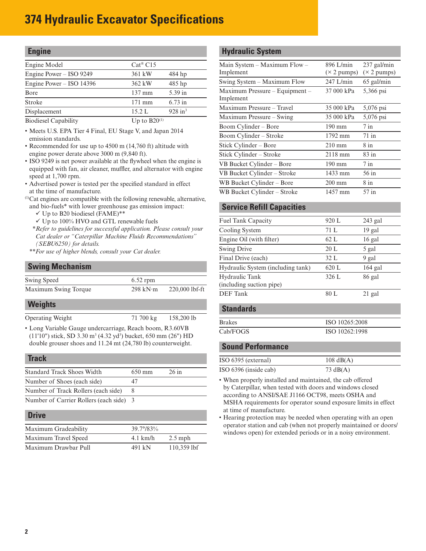# <span id="page-1-0"></span>**374 Hydraulic Excavator Specifications**

### **Engine**

| Engine Model               | $Cat^{\otimes}$ C15 |                       |
|----------------------------|---------------------|-----------------------|
| Engine Power – ISO 9249    | 361 kW              | 484 hp                |
| Engine Power $-$ ISO 14396 | 362 kW              | $485$ hp              |
| Bore                       | $137 \text{ mm}$    | 5.39 in               |
| <b>Stroke</b>              | $171$ mm            | $6.73$ in             |
| Displacement               | 15.2 L              | $928$ in <sup>3</sup> |
|                            |                     |                       |

Biodiesel Capability Up to B20<sup>(1)</sup>

- Meets U.S. EPA Tier 4 Final, EU Stage V, and Japan 2014 emission standards.
- Recommended for use up to 4500 m (14,760 ft) altitude with engine power derate above 3000 m (9,840 ft).
- ISO 9249 is net power available at the flywheel when the engine is equipped with fan, air cleaner, muffler, and alternator with engine speed at 1,700 rpm.
- Advertised power is tested per the specified standard in effect at the time of manufacture.
- (1) Cat engines are compatible with the following renewable, alternative,
- and bio-fuels\* with lower greenhouse gas emission impact:
	- $\checkmark$  Up to B20 biodiesel (FAME)\*\*  $\checkmark$  Up to 100% HVO and GTL renewable fuels
- *\*\*Refer to guidelines for successful application. Please consult your Cat dealer or "Caterpillar Machine Fluids Recommendations" (SEBU6250) for details.*
- *\*\*For use of higher blends, consult your Cat dealer.*

### **Swing Mechanism**

| $6.52$ rpm       |                  |
|------------------|------------------|
| 298 kN $\cdot$ m | $220,000$ lbf-ft |
|                  |                  |

#### **Weights**

Operating Weight 71 700 kg 158,200 lb

• Long Variable Gauge undercarriage, Reach boom, R3.60VB (11'10") stick, SD 3.30 m<sup>3</sup> (4.32 yd<sup>3</sup>) bucket, 650 mm (26") HD double grouser shoes and 11.24 mt (24,780 lb) counterweight.

#### **Track**

| <b>Standard Track Shoes Width</b>     | $650 \text{ mm}$ | $26$ in |
|---------------------------------------|------------------|---------|
|                                       |                  |         |
| Number of Shoes (each side)           |                  |         |
| Number of Track Rollers (each side)   |                  |         |
| Number of Carrier Rollers (each side) | $\mathcal{R}$    |         |

#### **Drive**

| Maximum Gradeability | $39.7^{\circ}/83\%$ |               |
|----------------------|---------------------|---------------|
| Maximum Travel Speed | $4.1$ km/h          | $2.5$ mph     |
| Maximum Drawbar Pull | 491 kN              | $110,359$ lbf |

#### **Hydraulic System**

| Main System – Maximum Flow –   | $896$ L/min                | 237 gal/min                |
|--------------------------------|----------------------------|----------------------------|
| Implement                      | $(\times 2 \text{ pumps})$ | $(\times 2 \text{ pumps})$ |
| Swing System – Maximum Flow    | $247$ L/min                | $65$ gal/min               |
| Maximum Pressure – Equipment – | 37 000 kPa                 | 5,366 psi                  |
| Implement                      |                            |                            |
| Maximum Pressure - Travel      | 35 000 kPa                 | 5,076 psi                  |
| Maximum Pressure – Swing       | 35 000 kPa                 | 5,076 psi                  |
| Boom Cylinder – Bore           | 190 mm                     | $7$ in                     |
| Boom Cylinder – Stroke         | 1792 mm                    | $71$ in                    |
| Stick Cylinder – Bore          | $210 \text{ mm}$           | 8 in                       |
| Stick Cylinder - Stroke        | 2118 mm                    | $83$ in                    |
| VB Bucket Cylinder – Bore      | $190 \text{ mm}$           | $7$ in                     |
| VB Bucket Cylinder - Stroke    | 1433 mm                    | $56$ in                    |
| WB Bucket Cylinder - Bore      | $200 \text{ mm}$           | $8$ in                     |
| WB Bucket Cylinder - Stroke    | 1457 mm                    | 57 in                      |

## **Service Refill Capacities**

| Fuel Tank Capacity                         | 920 L | $243$ gal |
|--------------------------------------------|-------|-----------|
| Cooling System                             | 71 L  | $19$ gal  |
| Engine Oil (with filter)                   | 62 L  | $16$ gal  |
| <b>Swing Drive</b>                         | 20L   | 5 gal     |
| Final Drive (each)                         | 32 L  | 9 gal     |
| Hydraulic System (including tank)          | 620 L | $164$ gal |
| Hydraulic Tank<br>(including suction pipe) | 326 L | 86 gal    |
| <b>DEF</b> Tank                            | 80 L  | $21$ gal  |
|                                            |       |           |

# **Standards** Brakes ISO 10265:2008 Cab/FOGS ISO 10262:1998

#### **Sound Performance**

| ISO 6395 (external)   | $108 \text{ dB}(A)$ |
|-----------------------|---------------------|
| ISO 6396 (inside cab) | 73 $dB(A)$          |

• When properly installed and maintained, the cab offered by Caterpillar, when tested with doors and windows closed according to ANSI/SAE J1166 OCT98, meets OSHA and MSHA requirements for operator sound exposure limits in effect at time of manufacture.

• Hearing protection may be needed when operating with an open operator station and cab (when not properly maintained or doors/ windows open) for extended periods or in a noisy environment.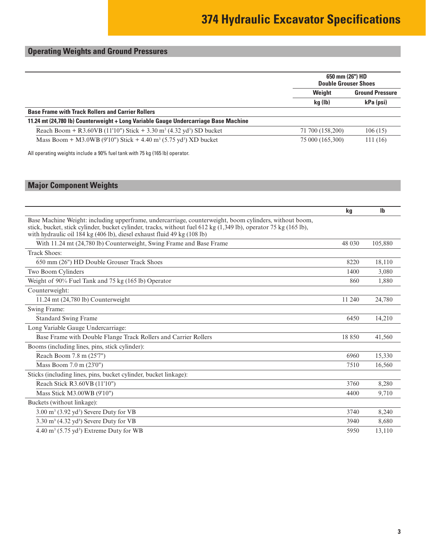# <span id="page-2-0"></span>**Operating Weights and Ground Pressures**

|                                                                                             | 650 mm (26") HD<br><b>Double Grouser Shoes</b> |           |  |
|---------------------------------------------------------------------------------------------|------------------------------------------------|-----------|--|
|                                                                                             | Weight<br><b>Ground Pressure</b>               |           |  |
|                                                                                             | kg (lb)                                        | kPa (psi) |  |
| <b>Base Frame with Track Rollers and Carrier Rollers</b>                                    |                                                |           |  |
| 11.24 mt (24,780 lb) Counterweight + Long Variable Gauge Undercarriage Base Machine         |                                                |           |  |
| Reach Boom + R3.60VB (11'10") Stick + 3.30 m <sup>3</sup> (4.32 yd <sup>3</sup> ) SD bucket | 71 700 (158,200)                               | 106(15)   |  |
| Mass Boom + M3.0WB (9'10") Stick + 4.40 m <sup>3</sup> (5.75 yd <sup>3</sup> ) XD bucket    | 75 000 (165,300)                               | 111(16)   |  |
| All operating weights include a 90% fuel tank with 75 kg (165 lb) operator.                 |                                                |           |  |

# **Major Component Weights**

|                                                                                                                                                                                                                                                                                                       | kq      | <b>Ib</b> |
|-------------------------------------------------------------------------------------------------------------------------------------------------------------------------------------------------------------------------------------------------------------------------------------------------------|---------|-----------|
| Base Machine Weight: including upperframe, undercarriage, counterweight, boom cylinders, without boom,<br>stick, bucket, stick cylinder, bucket cylinder, tracks, without fuel 612 kg (1,349 lb), operator 75 kg (165 lb),<br>with hydraulic oil 184 kg (406 lb), diesel exhaust fluid 49 kg (108 lb) |         |           |
| With 11.24 mt (24,780 lb) Counterweight, Swing Frame and Base Frame                                                                                                                                                                                                                                   | 48 0 30 | 105,880   |
| <b>Track Shoes:</b>                                                                                                                                                                                                                                                                                   |         |           |
| 650 mm (26") HD Double Grouser Track Shoes                                                                                                                                                                                                                                                            | 8220    | 18,110    |
| Two Boom Cylinders                                                                                                                                                                                                                                                                                    | 1400    | 3,080     |
| Weight of 90% Fuel Tank and 75 kg (165 lb) Operator                                                                                                                                                                                                                                                   | 860     | 1.880     |
| Counterweight:                                                                                                                                                                                                                                                                                        |         |           |
| $11.24$ mt $(24,780$ lb) Counterweight                                                                                                                                                                                                                                                                | 11 240  | 24,780    |
| Swing Frame:                                                                                                                                                                                                                                                                                          |         |           |
| <b>Standard Swing Frame</b>                                                                                                                                                                                                                                                                           | 6450    | 14,210    |
| Long Variable Gauge Undercarriage:                                                                                                                                                                                                                                                                    |         |           |
| Base Frame with Double Flange Track Rollers and Carrier Rollers                                                                                                                                                                                                                                       | 18850   | 41,560    |
| Booms (including lines, pins, stick cylinder):                                                                                                                                                                                                                                                        |         |           |
| Reach Boom 7.8 m (25'7")                                                                                                                                                                                                                                                                              | 6960    | 15,330    |
| Mass Boom 7.0 m (23'0")                                                                                                                                                                                                                                                                               | 7510    | 16.560    |
| Sticks (including lines, pins, bucket cylinder, bucket linkage):                                                                                                                                                                                                                                      |         |           |
| Reach Stick R3.60VB (11'10")                                                                                                                                                                                                                                                                          | 3760    | 8,280     |
| Mass Stick M3.00WB (9'10")                                                                                                                                                                                                                                                                            | 4400    | 9,710     |
| Buckets (without linkage):                                                                                                                                                                                                                                                                            |         |           |
| 3.00 m <sup>3</sup> (3.92 yd <sup>3</sup> ) Severe Duty for VB                                                                                                                                                                                                                                        | 3740    | 8,240     |
| 3.30 m <sup>3</sup> (4.32 yd <sup>3</sup> ) Severe Duty for VB                                                                                                                                                                                                                                        | 3940    | 8,680     |
| $4.40 \text{ m}^3$ (5.75 yd <sup>3</sup> ) Extreme Duty for WB                                                                                                                                                                                                                                        | 5950    | 13,110    |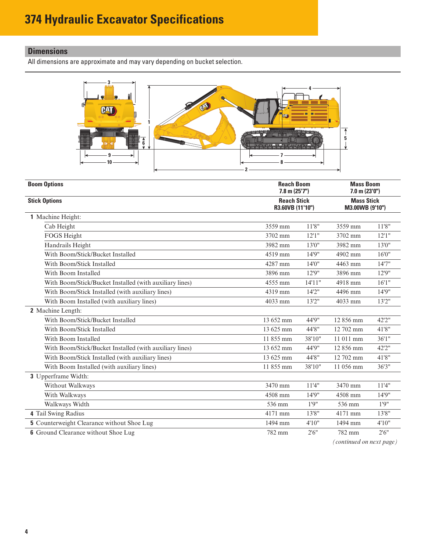# <span id="page-3-0"></span>**Dimensions**

All dimensions are approximate and may vary depending on bucket selection.



| <b>Boom Options</b><br><b>Reach Boom</b><br>$7.8$ m $(25'7'')$ |                                        |         | <b>Mass Boom</b><br>$7.0$ m $(23'0'')$<br><b>Mass Stick</b><br>M3.00WB (9'10") |        |
|----------------------------------------------------------------|----------------------------------------|---------|--------------------------------------------------------------------------------|--------|
| <b>Stick Options</b>                                           | <b>Reach Stick</b><br>R3.60VB (11'10") |         |                                                                                |        |
| 1 Machine Height:                                              |                                        |         |                                                                                |        |
| Cab Height                                                     | 3559 mm                                | 11'8''  | 3559 mm                                                                        | 11'8"  |
| FOGS Height                                                    | 3702 mm                                | 12'1''  | 3702 mm                                                                        | 12'1'' |
| Handrails Height                                               | 3982 mm                                | 13'0''  | 3982 mm                                                                        | 13'0"  |
| With Boom/Stick/Bucket Installed                               | 4519 mm                                | 14'9"   | 4902 mm                                                                        | 16'0'' |
| With Boom/Stick Installed                                      | 4287 mm                                | 14'0"   | 4463 mm                                                                        | 14'7'' |
| With Boom Installed                                            | 3896 mm                                | 12'9"   | 3896 mm                                                                        | 12'9"  |
| With Boom/Stick/Bucket Installed (with auxiliary lines)        | 4555 mm                                | 14'11'' | 4918 mm                                                                        | 16'1'' |
| With Boom/Stick Installed (with auxiliary lines)               | 4319 mm                                | 14'2''  | 4496 mm                                                                        | 14'9"  |
| With Boom Installed (with auxiliary lines)                     | 4033 mm                                | 13'2''  | 4033 mm                                                                        | 13'2'' |
| 2 Machine Length:                                              |                                        |         |                                                                                |        |
| With Boom/Stick/Bucket Installed                               | 13 652 mm                              | 44'9"   | 12856 mm                                                                       | 42'2"  |
| With Boom/Stick Installed                                      | 13 625 mm                              | 44'8"   | 12 702 mm                                                                      | 41'8"  |
| With Boom Installed                                            | 11855 mm                               | 38'10"  | 11 011 mm                                                                      | 36'1'' |
| With Boom/Stick/Bucket Installed (with auxiliary lines)        | 13 652 mm                              | 44'9"   | 12856 mm                                                                       | 42'2"  |
| With Boom/Stick Installed (with auxiliary lines)               | 13 625 mm                              | 44'8"   | 12 702 mm                                                                      | 41'8"  |
| With Boom Installed (with auxiliary lines)                     | 11 855 mm                              | 38'10"  | 11 056 mm                                                                      | 36'3'' |
| 3 Upperframe Width:                                            |                                        |         |                                                                                |        |
| Without Walkways                                               | 3470 mm                                | 11'4"   | 3470 mm                                                                        | 11'4"  |
| With Walkways                                                  | 4508 mm                                | 14'9"   | 4508 mm                                                                        | 14'9"  |
| Walkways Width                                                 | 536 mm                                 | 1'9''   | 536 mm                                                                         | 1'9''  |
| 4 Tail Swing Radius                                            | 4171 mm                                | 13'8"   | 4171 mm                                                                        | 13'8"  |
| <b>5</b> Counterweight Clearance without Shoe Lug              | 1494 mm                                | 4'10''  | 1494 mm                                                                        | 4'10"  |
| <b>6</b> Ground Clearance without Shoe Lug                     | 782 mm                                 | 2'6''   | 782 mm                                                                         | 2'6''  |

*(continued on next page)*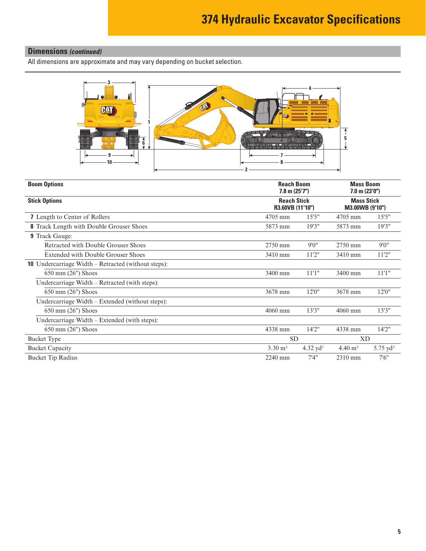# **Dimensions** *(continued)*

All dimensions are approximate and may vary depending on bucket selection.



| <b>Boom Options</b>                                            | <b>Reach Boom</b><br>$7.8$ m $(25'7'')$ |             | <b>Mass Boom</b><br>$7.0$ m $(23'0'')$<br><b>Mass Stick</b><br>M3.00WB (9'10") |                     |
|----------------------------------------------------------------|-----------------------------------------|-------------|--------------------------------------------------------------------------------|---------------------|
| <b>Reach Stick</b><br><b>Stick Options</b><br>R3.60VB (11'10") |                                         |             |                                                                                |                     |
| 7 Length to Center of Rollers                                  | 4705 mm                                 | 15'5''      | 4705 mm                                                                        | 15'5''              |
| <b>8</b> Track Length with Double Grouser Shoes                | 5873 mm                                 | 19'3''      | 5873 mm                                                                        | 19'3"               |
| <b>9</b> Track Gauge:                                          |                                         |             |                                                                                |                     |
| Retracted with Double Grouser Shoes                            | 2750 mm                                 | 9'0''       | 2750 mm                                                                        | 9'0''               |
| <b>Extended with Double Grouser Shoes</b>                      | 3410 mm                                 | 11'2''      | 3410 mm                                                                        | 11'2''              |
| <b>10</b> Undercarriage Width – Retracted (without steps):     |                                         |             |                                                                                |                     |
| $650 \text{ mm}$ (26") Shoes                                   | 3400 mm                                 | 11'1''      | 3400 mm                                                                        | 11'1"               |
| Undercarriage Width – Retracted (with steps):                  |                                         |             |                                                                                |                     |
| 650 mm (26") Shoes                                             | 3678 mm                                 | 12'0''      | 3678 mm                                                                        | 12'0"               |
| Undercarriage Width – Extended (without steps):                |                                         |             |                                                                                |                     |
| 650 mm (26") Shoes                                             | 4060 mm                                 | 13'3''      | 4060 mm                                                                        | 13'3''              |
| Undercarriage Width $-$ Extended (with steps):                 |                                         |             |                                                                                |                     |
| 650 mm (26") Shoes                                             | 4338 mm                                 | 14'2''      | 4338 mm                                                                        | 14'2"               |
| <b>Bucket Type</b>                                             |                                         | <b>SD</b>   |                                                                                | <b>XD</b>           |
| <b>Bucket Capacity</b>                                         | $3.30 \text{ m}^3$                      | 4.32 $yd^3$ | $4.40 \text{ m}^3$                                                             | $5.75 \text{ yd}^3$ |
| <b>Bucket Tip Radius</b>                                       | 2240 mm                                 | 7'4''       | 2310 mm                                                                        | 7'6''               |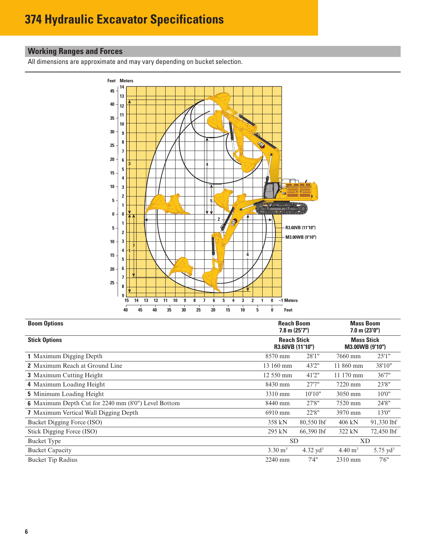# <span id="page-5-0"></span>**Working Ranges and Forces**

All dimensions are approximate and may vary depending on bucket selection.



| <b>Reach Boom</b><br><b>Boom Options</b><br>$7.8$ m $(25'7'')$ |                    |                                        | <b>Mass Boom</b><br>$7.0$ m $(23'0'')$ |                                      |  |
|----------------------------------------------------------------|--------------------|----------------------------------------|----------------------------------------|--------------------------------------|--|
| <b>Stick Options</b>                                           |                    | <b>Reach Stick</b><br>R3.60VB (11'10") |                                        | <b>Mass Stick</b><br>M3.00WB (9'10") |  |
| 1 Maximum Digging Depth                                        | 8570 mm            | 28'1"                                  | 7660 mm                                | 25'1''                               |  |
| <b>2</b> Maximum Reach at Ground Line                          | 13 160 mm          | 43'2"                                  | 11 860 mm                              | 38'10"                               |  |
| <b>3</b> Maximum Cutting Height                                | 12 550 mm          | 41'2"                                  | 11 170 mm                              | 36'7"                                |  |
| 4 Maximum Loading Height                                       | 8430 mm            | 27'7''                                 | 7220 mm                                | 23'8"                                |  |
| <b>5</b> Minimum Loading Height                                | 3310 mm            | 10'10"                                 | 3050 mm                                | 10'0''                               |  |
| <b>6</b> Maximum Depth Cut for 2240 mm (8'0") Level Bottom     | 8440 mm            | 27'8"                                  | 7520 mm                                | 24'8"                                |  |
| <b>7</b> Maximum Vertical Wall Digging Depth                   | 6910 mm            | 22'8"                                  | 3970 mm                                | 13'0"                                |  |
| Bucket Digging Force (ISO)                                     | 358 kN             | 80,550 lbf                             | $406$ kN                               | 91,330 lbf                           |  |
| Stick Digging Force (ISO)                                      | 295 kN             | 66,390 lbf                             | 322 kN                                 | 72,450 lbf                           |  |
| <b>Bucket Type</b>                                             | <b>SD</b>          |                                        | XD                                     |                                      |  |
| <b>Bucket Capacity</b>                                         | $3.30 \text{ m}^3$ | 4.32 $yd^3$                            | $4.40 \text{ m}^3$                     | $5.75 \text{ yd}^3$                  |  |
| <b>Bucket Tip Radius</b>                                       | 2240 mm            | 7'4''                                  | 2310 mm                                | 7'6''                                |  |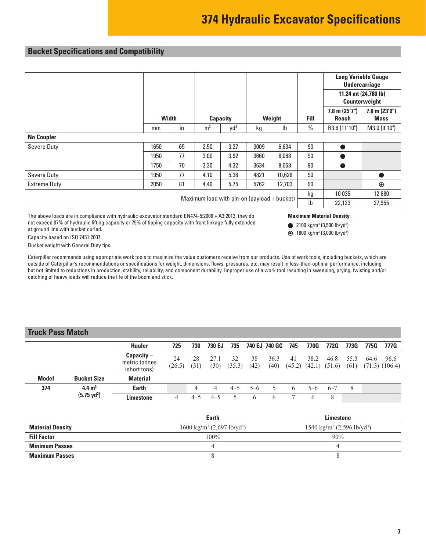# <span id="page-6-0"></span>**Bucket Specifications and Compatibility**

|                     |                                               |              |                |                 |      |                                       |                | <b>Long Variable Gauge</b><br><b>Undercarriage</b> |                                   |
|---------------------|-----------------------------------------------|--------------|----------------|-----------------|------|---------------------------------------|----------------|----------------------------------------------------|-----------------------------------|
|                     |                                               |              |                |                 |      | 11.24 mt (24,780 lb)<br>Counterweight |                |                                                    |                                   |
|                     |                                               | <b>Width</b> |                | <b>Capacity</b> |      | Weight                                | <b>Fill</b>    | $7.8$ m $(25'7'')$<br><b>Reach</b>                 | $7.0$ m $(23'0'')$<br><b>Mass</b> |
|                     | mm                                            | in           | m <sup>3</sup> | Vd <sup>3</sup> | kg   | I <sub>b</sub>                        | $\%$           | R3.6 (11'10")                                      | M3.0 (9'10")                      |
| <b>No Coupler</b>   |                                               |              |                |                 |      |                                       |                |                                                    |                                   |
| Severe Duty         | 1650                                          | 65           | 2.50           | 3.27            | 3009 | 6,634                                 | 90             |                                                    |                                   |
|                     | 1950                                          | 77           | 3.00           | 3.92            | 3660 | 8,068                                 | 90             |                                                    |                                   |
|                     | 1750                                          | 70           | 3.30           | 4.32            | 3634 | 8,068                                 | 90             |                                                    |                                   |
| Severe Duty         | 1950                                          | 77           | 4.10           | 5.36            | 4821 | 10,628                                | 90             |                                                    |                                   |
| <b>Extreme Duty</b> | 2050                                          | 81           | 4.40           | 5.75            | 5762 | 12,703                                | 90             |                                                    | $\odot$                           |
|                     | Maximum load with $pin-on$ (payload + bucket) |              |                |                 |      |                                       |                |                                                    | 12680                             |
|                     |                                               |              |                |                 |      |                                       | I <sub>b</sub> | 22,123                                             | 27,955                            |

The above loads are in compliance with hydraulic excavator standard EN474-5:2006 + A3:2013, they do not exceed 87% of hydraulic lifting capacity or 75% of tipping capacity with front linkage fully extended at ground line with bucket curled.

#### **Maximum Material Density:**

2100 kg/m<sup>3</sup> (3,500 lb/yd<sup>3</sup>)

1800 kg/m3 (3,000 lb/yd3 )

Capacity based on ISO 7451:2007.

Bucket weight with General Duty tips.

Caterpillar recommends using appropriate work tools to maximize the value customers receive from our products. Use of work tools, including buckets, which are outside of Caterpillar's recommendations or specifications for weight, dimensions, flows, pressures, etc. may result in less-than-optimal performance, including but not limited to reductions in production, stability, reliability, and component durability. Improper use of a work tool resulting in sweeping, prying, twisting and/or catching of heavy loads will reduce the life of the boom and stick.

#### **Truck Pass Match**

|              |                       | <b>Hauler</b>                                 | 725          | 730        | 730 EJ         | 735          |            | 740 EJ 740 GC | 745          | 770G  | 772G                               | 773G         | 775G | 777G                       |
|--------------|-----------------------|-----------------------------------------------|--------------|------------|----------------|--------------|------------|---------------|--------------|-------|------------------------------------|--------------|------|----------------------------|
|              |                       | $Capacity -$<br>metric tonnes<br>(short tons) | 24<br>(26.5) | 28<br>(31) | 27.1<br>(30)   | 32<br>(35.3) | 38<br>(42) | 36.3<br>(40)  | 41           | 38.2  | 46.8<br>$(45.2)$ $(42.1)$ $(51.6)$ | 55.3<br>(61) | 64.6 | 96.6<br>$(71.3)$ $(106.4)$ |
| <b>Model</b> | <b>Bucket Size</b>    | <b>Material</b>                               |              |            |                |              |            |               |              |       |                                    |              |      |                            |
| 374          | $4.4 \text{ m}^3$     | <b>Earth</b>                                  |              | 4          | $\overline{4}$ | $4 - 5$      | $5-6$      |               | <sub>6</sub> | $5-6$ | $6 - 7$                            | 8            |      |                            |
|              | $(5.75 \text{ yd}^3)$ | <b>Limestone</b>                              | 4            | $4 - 5$    | $4 - 5$        |              | 6          | <sub>6</sub>  |              |       | 8                                  |              |      |                            |
|              |                       |                                               |              |            |                |              |            |               |              |       |                                    |              |      |                            |

|                         | Earth                                             | Limestone                                         |
|-------------------------|---------------------------------------------------|---------------------------------------------------|
| <b>Material Density</b> | $1600 \text{ kg/m}^3$ (2,697 lb/yd <sup>3</sup> ) | $1540 \text{ kg/m}^3$ (2,596 lb/yd <sup>3</sup> ) |
| <b>Fill Factor</b>      | $100\%$                                           | 90%                                               |
| <b>Minimum Passes</b>   |                                                   |                                                   |
| <b>Maximum Passes</b>   |                                                   |                                                   |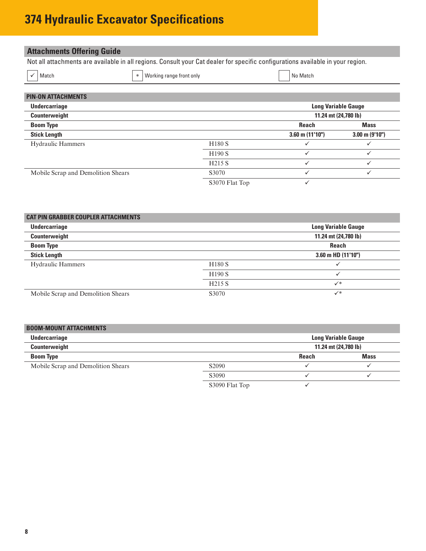# <span id="page-7-0"></span>**374 Hydraulic Excavator Specifications**

# **Attachments Offering Guide**

Not all attachments are available in all regions. Consult your Cat dealer for specific configurations available in your region.

|  | ∼ |
|--|---|
|  |   |

│ ✓│ Match Norking range front only Norking range front only

|  | No Mate |
|--|---------|

| <b>PIN-ON ATTACHMENTS</b>          |                    |                            |                     |  |  |  |
|------------------------------------|--------------------|----------------------------|---------------------|--|--|--|
| <b>Undercarriage</b>               |                    | <b>Long Variable Gauge</b> |                     |  |  |  |
| Counterweight                      |                    | 11.24 mt (24,780 lb)       |                     |  |  |  |
| <b>Boom Type</b>                   |                    | <b>Reach</b>               | <b>Mass</b>         |  |  |  |
| <b>Stick Length</b>                |                    | $3.60$ m $(11'10'')$       | $3.00$ m $(9'10'')$ |  |  |  |
| <b>Hydraulic Hammers</b>           | <b>H180 S</b>      | $\checkmark$               |                     |  |  |  |
|                                    | H <sub>190</sub> S |                            |                     |  |  |  |
|                                    | H <sub>215</sub> S | $\checkmark$               |                     |  |  |  |
| Mobile Scrap and Demolition Shears | S3070              |                            |                     |  |  |  |
|                                    | S3070 Flat Top     | v                          |                     |  |  |  |

| <b>CAT PIN GRABBER COUPLER ATTACHMENTS</b> |                    |                            |
|--------------------------------------------|--------------------|----------------------------|
| <b>Undercarriage</b>                       |                    | <b>Long Variable Gauge</b> |
| Counterweight                              |                    | 11.24 mt (24,780 lb)       |
| <b>Boom Type</b>                           |                    | <b>Reach</b>               |
| <b>Stick Length</b>                        |                    | $3.60$ m HD $(11'10'')$    |
| <b>Hydraulic Hammers</b>                   | <b>H180 S</b>      |                            |
|                                            | H <sub>190</sub> S | $\checkmark$               |
|                                            | <b>H215 S</b>      | $\checkmark^*$             |
| Mobile Scrap and Demolition Shears         | S3070              | $\checkmark^*$             |

| <b>BOOM-MOUNT ATTACHMENTS</b>               |                   |                      |             |  |  |
|---------------------------------------------|-------------------|----------------------|-------------|--|--|
| Undercarriage<br><b>Long Variable Gauge</b> |                   |                      |             |  |  |
| Counterweight                               |                   | 11.24 mt (24,780 lb) |             |  |  |
| <b>Boom Type</b>                            |                   | <b>Reach</b>         | <b>Mass</b> |  |  |
| Mobile Scrap and Demolition Shears          | S <sub>2090</sub> |                      |             |  |  |
|                                             | S3090             |                      |             |  |  |
|                                             | S3090 Flat Top    |                      |             |  |  |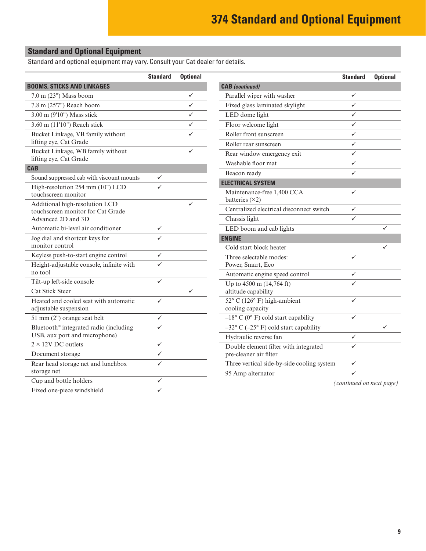# <span id="page-8-0"></span>**Standard and Optional Equipment**

Standard and optional equipment may vary. Consult your Cat dealer for details.

|                                                                     | <b>Standard</b> | <b>Optional</b> |                                                          | <b>Standard</b>          | <b>Optional</b> |
|---------------------------------------------------------------------|-----------------|-----------------|----------------------------------------------------------|--------------------------|-----------------|
| <b>BOOMS, STICKS AND LINKAGES</b>                                   |                 |                 | <b>CAB</b> (continued)                                   |                          |                 |
| 7.0 m (23") Mass boom                                               |                 | ✓               | Parallel wiper with washer                               | ✓                        |                 |
| 7.8 m (25'7") Reach boom                                            |                 | $\checkmark$    | Fixed glass laminated skylight                           | $\checkmark$             |                 |
| 3.00 m (9'10") Mass stick                                           |                 | ✓               | LED dome light                                           | ✓                        |                 |
| 3.60 m (11'10") Reach stick                                         |                 | ✓               | Floor welcome light                                      | ✓                        |                 |
| Bucket Linkage, VB family without                                   |                 |                 | Roller front sunscreen                                   | ✓                        |                 |
| lifting eye, Cat Grade                                              |                 |                 | Roller rear sunscreen                                    | ✓                        |                 |
| Bucket Linkage, WB family without                                   |                 |                 | Rear window emergency exit                               | ✓                        |                 |
| lifting eye, Cat Grade                                              |                 |                 | Washable floor mat                                       | ✓                        |                 |
| <b>CAB</b>                                                          |                 |                 | Beacon ready                                             | ✓                        |                 |
| Sound suppressed cab with viscount mounts                           | $\checkmark$    |                 | <b>ELECTRICAL SYSTEM</b>                                 |                          |                 |
| High-resolution 254 mm (10") LCD<br>touchscreen monitor             |                 |                 | Maintenance-free 1,400 CCA<br>batteries $(\times 2)$     | ✓                        |                 |
| Additional high-resolution LCD<br>touchscreen monitor for Cat Grade |                 |                 | Centralized electrical disconnect switch                 | ✓                        |                 |
| Advanced 2D and 3D                                                  |                 |                 | Chassis light                                            | ✓                        |                 |
| Automatic bi-level air conditioner                                  | $\checkmark$    |                 | LED boom and cab lights                                  |                          | ✓               |
| Jog dial and shortcut keys for                                      | ✓               |                 | <b>ENGINE</b>                                            |                          |                 |
| monitor control                                                     |                 |                 | Cold start block heater                                  |                          | ✓               |
| Keyless push-to-start engine control                                | $\checkmark$    |                 | Three selectable modes:                                  | ✓                        |                 |
| Height-adjustable console, infinite with                            | ✓               |                 | Power, Smart, Eco                                        |                          |                 |
| no tool                                                             |                 |                 | Automatic engine speed control                           | ✓                        |                 |
| Tilt-up left-side console                                           | $\checkmark$    |                 | Up to 4500 m (14,764 ft)                                 |                          |                 |
| Cat Stick Steer                                                     |                 | ✓               | altitude capability                                      |                          |                 |
| Heated and cooled seat with automatic<br>adjustable suspension      | ✓               |                 | 52° C (126° F) high-ambient<br>cooling capacity          | ✓                        |                 |
| 51 mm (2") orange seat belt                                         | $\checkmark$    |                 | $-18^{\circ}$ C (0° F) cold start capability             | ✓                        |                 |
| Bluetooth® integrated radio (including                              | $\checkmark$    |                 | $-32^{\circ}$ C ( $-25^{\circ}$ F) cold start capability |                          | ✓               |
| USB, aux port and microphone)                                       |                 |                 | Hydraulic reverse fan                                    | $\checkmark$             |                 |
| $2 \times 12V$ DC outlets                                           | $\checkmark$    |                 | Double element filter with integrated                    | ✓                        |                 |
| Document storage                                                    | ✓               |                 | pre-cleaner air filter                                   |                          |                 |
| Rear head storage net and lunchbox                                  | $\checkmark$    |                 | Three vertical side-by-side cooling system               | $\checkmark$             |                 |
| storage net                                                         |                 |                 | 95 Amp alternator                                        |                          |                 |
| Cup and bottle holders                                              | $\checkmark$    |                 |                                                          | (continued on next page) |                 |
| Fixed one-piece windshield                                          | $\checkmark$    |                 |                                                          |                          |                 |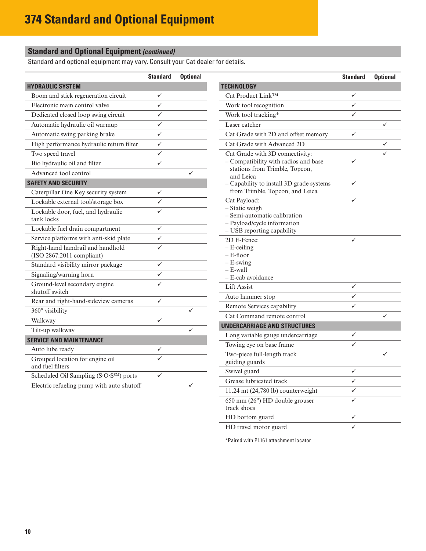## **Standard and Optional Equipment** *(continued)*

Standard and optional equipment may vary. Consult your Cat dealer for details.

|                                                     | <b>Standard</b> | <b>Optional</b> |                                                | <b>Standard</b> | <b>Optional</b> |
|-----------------------------------------------------|-----------------|-----------------|------------------------------------------------|-----------------|-----------------|
| <b>HYDRAULIC SYSTEM</b>                             |                 |                 | <b>TECHNOLOGY</b>                              |                 |                 |
| Boom and stick regeneration circuit                 | ✓               |                 | Cat Product Link™                              | ✓               |                 |
| Electronic main control valve                       | $\checkmark$    |                 | Work tool recognition                          | ✓               |                 |
| Dedicated closed loop swing circuit                 | $\checkmark$    |                 | Work tool tracking*                            | ✓               |                 |
| Automatic hydraulic oil warmup                      | $\checkmark$    |                 | Laser catcher                                  |                 | ✓               |
| Automatic swing parking brake                       | $\checkmark$    |                 | Cat Grade with 2D and offset memory            | $\checkmark$    |                 |
| High performance hydraulic return filter            | $\checkmark$    |                 | Cat Grade with Advanced 2D                     |                 | $\checkmark$    |
| Two speed travel                                    | $\checkmark$    |                 | Cat Grade with 3D connectivity:                |                 |                 |
| Bio hydraulic oil and filter                        | $\checkmark$    |                 | - Compatibility with radios and base           | ✓               |                 |
| Advanced tool control                               |                 | ✓               | stations from Trimble, Topcon,<br>and Leica    |                 |                 |
| <b>SAFETY AND SECURITY</b>                          |                 |                 | - Capability to install 3D grade systems       | ✓               |                 |
| Caterpillar One Key security system                 | $\checkmark$    |                 | from Trimble, Topcon, and Leica                |                 |                 |
| Lockable external tool/storage box                  | $\checkmark$    |                 | Cat Payload:                                   | ✓               |                 |
| Lockable door, fuel, and hydraulic                  | $\checkmark$    |                 | - Static weigh<br>- Semi-automatic calibration |                 |                 |
| tank locks                                          |                 |                 | - Payload/cycle information                    |                 |                 |
| Lockable fuel drain compartment                     | $\checkmark$    |                 | - USB reporting capability                     |                 |                 |
| Service platforms with anti-skid plate              | $\checkmark$    |                 | 2D E-Fence:                                    | $\checkmark$    |                 |
| Right-hand handrail and handhold                    | ✓               |                 | $-$ E-ceiling                                  |                 |                 |
| (ISO 2867:2011 compliant)                           |                 |                 | $-$ E-floor<br>$-E$ -swing                     |                 |                 |
| Standard visibility mirror package                  | $\checkmark$    |                 | $-$ E-wall                                     |                 |                 |
| Signaling/warning horn                              | $\checkmark$    |                 | - E-cab avoidance                              |                 |                 |
| Ground-level secondary engine<br>shutoff switch     | ✓               |                 | Lift Assist                                    | $\checkmark$    |                 |
| Rear and right-hand-sideview cameras                | $\checkmark$    |                 | Auto hammer stop                               | $\checkmark$    |                 |
| 360° visibility                                     |                 | ✓               | Remote Services capability                     | ✓               |                 |
|                                                     | $\checkmark$    |                 | Cat Command remote control                     |                 |                 |
| Walkway                                             |                 | ✓               | <b>UNDERCARRIAGE AND STRUCTURES</b>            |                 |                 |
| Tilt-up walkway                                     |                 |                 | Long variable gauge undercarriage              | ✓               |                 |
| <b>SERVICE AND MAINTENANCE</b>                      |                 |                 | Towing eye on base frame                       | ✓               |                 |
| Auto lube ready                                     | ✓               |                 | Two-piece full-length track                    |                 | ✓               |
| Grouped location for engine oil<br>and fuel filters |                 |                 | guiding guards                                 |                 |                 |
| Scheduled Oil Sampling (S.O.S <sup>SM</sup> ) ports | $\checkmark$    |                 | Swivel guard                                   | $\checkmark$    |                 |
| Electric refueling pump with auto shutoff           |                 | ✓               | Grease lubricated track                        | $\checkmark$    |                 |
|                                                     |                 |                 | 11.24 mt (24,780 lb) counterweight             | $\checkmark$    |                 |
|                                                     |                 |                 | 650 mm (26") HD double grouser                 | $\checkmark$    |                 |

HD travel motor guard

track shoes

\*Paired with PL161 attachment locator

HD bottom guard $\checkmark$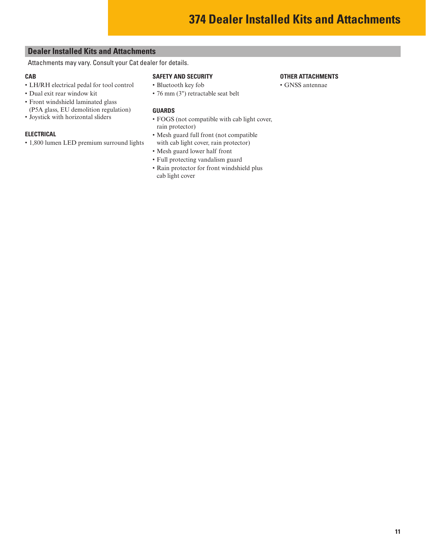### <span id="page-10-0"></span>**Dealer Installed Kits and Attachments**

Attachments may vary. Consult your Cat dealer for details.

#### **CAB**

- LH/RH electrical pedal for tool control
- Dual exit rear window kit
- Front windshield laminated glass (P5A glass, EU demolition regulation)
- Joystick with horizontal sliders

#### **ELECTRICAL**

• 1,800 lumen LED premium surround lights

#### **SAFETY AND SECURITY**

- Bluetooth key fob
- 76 mm (3") retractable seat belt

#### **GUARDS**

- FOGS (not compatible with cab light cover, rain protector)
- Mesh guard full front (not compatible with cab light cover, rain protector)
- Mesh guard lower half front
- Full protecting vandalism guard
- Rain protector for front windshield plus cab light cover

#### **OTHER ATTACHMENTS**

• GNSS antennae